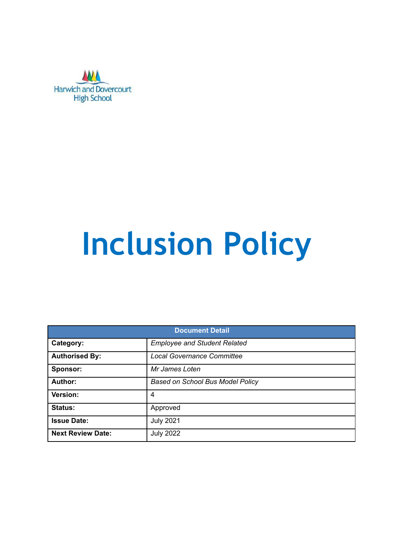

# **Inclusion Policy**

| <b>Document Detail</b>   |                                         |  |  |
|--------------------------|-----------------------------------------|--|--|
| Category:                | <b>Employee and Student Related</b>     |  |  |
| <b>Authorised By:</b>    | <b>Local Governance Committee</b>       |  |  |
| Sponsor:                 | Mr James Loten                          |  |  |
| Author:                  | <b>Based on School Bus Model Policy</b> |  |  |
| Version:                 | 4                                       |  |  |
| Status:                  | Approved                                |  |  |
| <b>Issue Date:</b>       | <b>July 2021</b>                        |  |  |
| <b>Next Review Date:</b> | <b>July 2022</b>                        |  |  |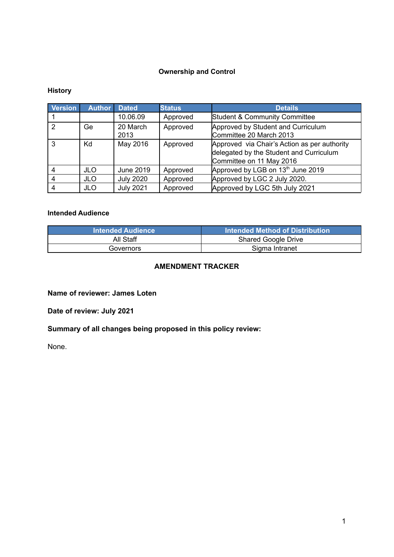#### **Ownership and Control**

#### **History**

| <b>Version</b> | <b>Author</b> | <b>Dated</b>     | <b>Status</b> | <b>Details</b>                                                                                                      |
|----------------|---------------|------------------|---------------|---------------------------------------------------------------------------------------------------------------------|
|                |               | 10.06.09         | Approved      | Student & Community Committee                                                                                       |
| 2              | Ge            | 20 March<br>2013 | Approved      | Approved by Student and Curriculum<br>Committee 20 March 2013                                                       |
| 3              | Kd            | May 2016         | Approved      | Approved via Chair's Action as per authority<br>delegated by the Student and Curriculum<br>Committee on 11 May 2016 |
|                | JLO.          | June 2019        | Approved      | Approved by LGB on 13th June 2019                                                                                   |
| 4              | <b>JLO</b>    | <b>July 2020</b> | Approved      | Approved by LGC 2 July 2020.                                                                                        |
|                | <b>JLO</b>    | <b>July 2021</b> | Approved      | Approved by LGC 5th July 2021                                                                                       |

#### **Intended Audience**

| <b>Intended Audience</b> | Intended Method of Distribution |
|--------------------------|---------------------------------|
| All Staff                | <b>Shared Google Drive</b>      |
| Governors                | Sigma Intranet                  |

#### **AMENDMENT TRACKER**

**Name of reviewer: James Loten**

**Date of review: July 2021**

**Summary of all changes being proposed in this policy review:**

None.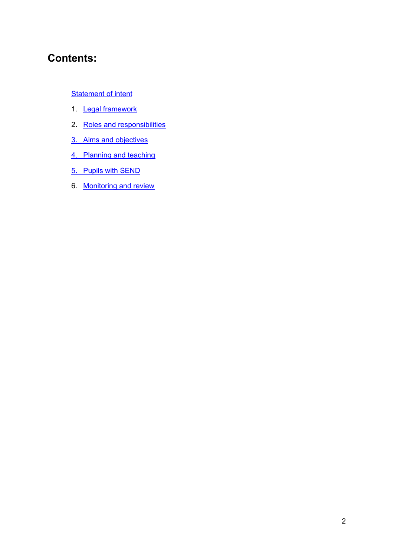## **Contents:**

#### **[Statement](#page-3-0) of intent**

- 1. Legal [framework](#page-4-0)
- 2. Roles and [responsibilities](#page-4-1)
- 3. Aims and [objectives](#page-5-0)
- 4. [Planning](#page-5-1) and teaching
- 5. Pupils with [SEND](#page-7-0)
- 6. [Monitoring](#page-8-0) and review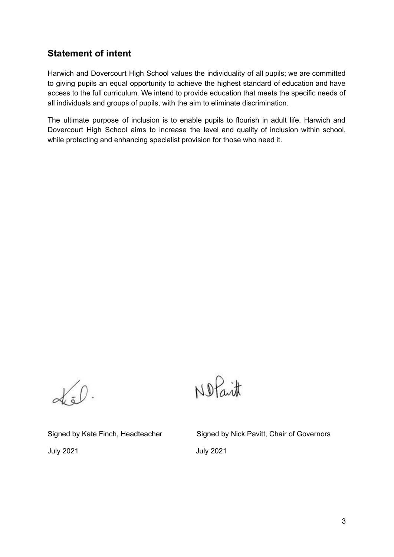## <span id="page-3-0"></span>**Statement of intent**

Harwich and Dovercourt High School values the individuality of all pupils; we are committed to giving pupils an equal opportunity to achieve the highest standard of education and have access to the full curriculum. We intend to provide education that meets the specific needs of all individuals and groups of pupils, with the aim to eliminate discrimination.

The ultimate purpose of inclusion is to enable pupils to flourish in adult life. Harwich and Dovercourt High School aims to increase the level and quality of inclusion within school, while protecting and enhancing specialist provision for those who need it.

 $\propto 0$ .

Nofait

July 2021 July 2021

Signed by Kate Finch, Headteacher Signed by Nick Pavitt, Chair of Governors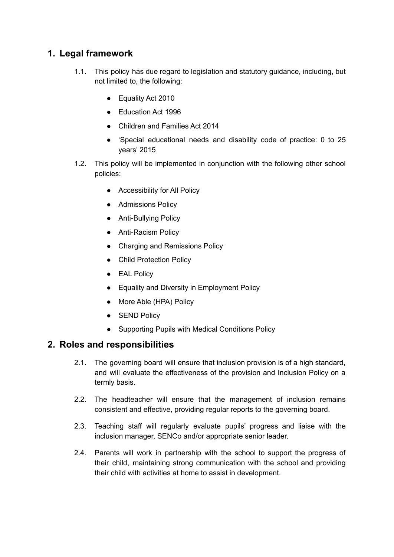## <span id="page-4-0"></span>**1. Legal framework**

- 1.1. This policy has due regard to legislation and statutory guidance, including, but not limited to, the following:
	- Equality Act 2010
	- Education Act 1996
	- Children and Families Act 2014
	- 'Special educational needs and disability code of practice: 0 to 25 years' 2015
- 1.2. This policy will be implemented in conjunction with the following other school policies:
	- Accessibility for All Policy
	- Admissions Policy
	- Anti-Bullying Policy
	- Anti-Racism Policy
	- Charging and Remissions Policy
	- Child Protection Policy
	- EAL Policy
	- Equality and Diversity in Employment Policy
	- More Able (HPA) Policy
	- SEND Policy
	- Supporting Pupils with Medical Conditions Policy

#### <span id="page-4-1"></span>**2. Roles and responsibilities**

- 2.1. The governing board will ensure that inclusion provision is of a high standard, and will evaluate the effectiveness of the provision and Inclusion Policy on a termly basis.
- 2.2. The headteacher will ensure that the management of inclusion remains consistent and effective, providing regular reports to the governing board.
- 2.3. Teaching staff will regularly evaluate pupils' progress and liaise with the inclusion manager, SENCo and/or appropriate senior leader.
- 2.4. Parents will work in partnership with the school to support the progress of their child, maintaining strong communication with the school and providing their child with activities at home to assist in development.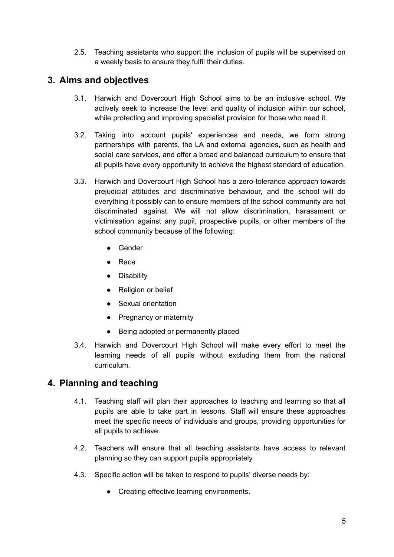2.5. Teaching assistants who support the inclusion of pupils will be supervised on a weekly basis to ensure they fulfil their duties.

## <span id="page-5-0"></span>**3. Aims and objectives**

- 3.1. Harwich and Dovercourt High School aims to be an inclusive school. We actively seek to increase the level and quality of inclusion within our school, while protecting and improving specialist provision for those who need it.
- 3.2. Taking into account pupils' experiences and needs, we form strong partnerships with parents, the LA and external agencies, such as health and social care services, and offer a broad and balanced curriculum to ensure that all pupils have every opportunity to achieve the highest standard of education.
- 3.3. Harwich and Dovercourt High School has a zero-tolerance approach towards prejudicial attitudes and discriminative behaviour, and the school will do everything it possibly can to ensure members of the school community are not discriminated against. We will not allow discrimination, harassment or victimisation against any pupil, prospective pupils, or other members of the school community because of the following:
	- Gender
	- Race
	- Disability
	- Religion or belief
	- Sexual orientation
	- Pregnancy or maternity
	- Being adopted or permanently placed
- 3.4. Harwich and Dovercourt High School will make every effort to meet the learning needs of all pupils without excluding them from the national curriculum.

## <span id="page-5-1"></span>**4. Planning and teaching**

- 4.1. Teaching staff will plan their approaches to teaching and learning so that all pupils are able to take part in lessons. Staff will ensure these approaches meet the specific needs of individuals and groups, providing opportunities for all pupils to achieve.
- 4.2. Teachers will ensure that all teaching assistants have access to relevant planning so they can support pupils appropriately.
- 4.3. Specific action will be taken to respond to pupils' diverse needs by:
	- Creating effective learning environments.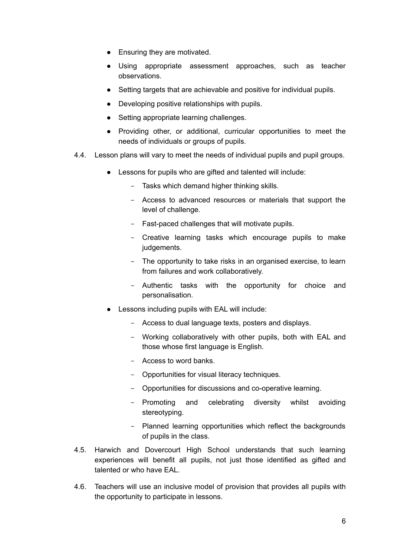- Ensuring they are motivated.
- Using appropriate assessment approaches, such as teacher observations.
- Setting targets that are achievable and positive for individual pupils.
- Developing positive relationships with pupils.
- Setting appropriate learning challenges.
- Providing other, or additional, curricular opportunities to meet the needs of individuals or groups of pupils.
- 4.4. Lesson plans will vary to meet the needs of individual pupils and pupil groups.
	- Lessons for pupils who are gifted and talented will include:
		- Tasks which demand higher thinking skills.
		- Access to advanced resources or materials that support the level of challenge.
		- Fast-paced challenges that will motivate pupils.
		- Creative learning tasks which encourage pupils to make judgements.
		- The opportunity to take risks in an organised exercise, to learn from failures and work collaboratively.
		- Authentic tasks with the opportunity for choice and personalisation.
	- Lessons including pupils with EAL will include:
		- Access to dual language texts, posters and displays.
		- Working collaboratively with other pupils, both with EAL and those whose first language is English.
		- Access to word banks.
		- Opportunities for visual literacy techniques.
		- Opportunities for discussions and co-operative learning.
		- Promoting and celebrating diversity whilst avoiding stereotyping.
		- Planned learning opportunities which reflect the backgrounds of pupils in the class.
- 4.5. Harwich and Dovercourt High School understands that such learning experiences will benefit all pupils, not just those identified as gifted and talented or who have FAL.
- 4.6. Teachers will use an inclusive model of provision that provides all pupils with the opportunity to participate in lessons.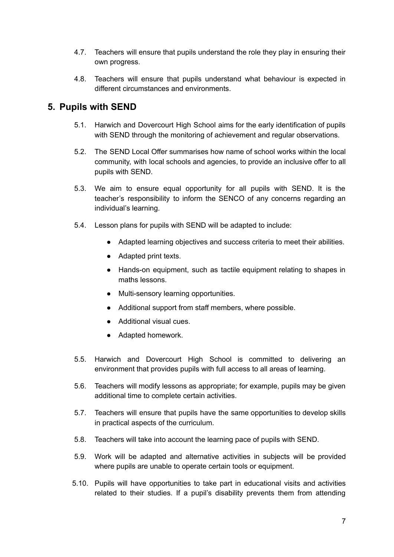- 4.7. Teachers will ensure that pupils understand the role they play in ensuring their own progress.
- 4.8. Teachers will ensure that pupils understand what behaviour is expected in different circumstances and environments.

## <span id="page-7-0"></span>**5. Pupils with SEND**

- 5.1. Harwich and Dovercourt High School aims for the early identification of pupils with SEND through the monitoring of achievement and regular observations.
- 5.2. The SEND Local Offer summarises how name of school works within the local community, with local schools and agencies, to provide an inclusive offer to all pupils with SEND.
- 5.3. We aim to ensure equal opportunity for all pupils with SEND. It is the teacher's responsibility to inform the SENCO of any concerns regarding an individual's learning.
- 5.4. Lesson plans for pupils with SEND will be adapted to include:
	- Adapted learning objectives and success criteria to meet their abilities.
	- Adapted print texts.
	- Hands-on equipment, such as tactile equipment relating to shapes in maths lessons.
	- Multi-sensory learning opportunities.
	- Additional support from staff members, where possible.
	- Additional visual cues.
	- Adapted homework.
- 5.5. Harwich and Dovercourt High School is committed to delivering an environment that provides pupils with full access to all areas of learning.
- 5.6. Teachers will modify lessons as appropriate; for example, pupils may be given additional time to complete certain activities.
- 5.7. Teachers will ensure that pupils have the same opportunities to develop skills in practical aspects of the curriculum.
- 5.8. Teachers will take into account the learning pace of pupils with SEND.
- 5.9. Work will be adapted and alternative activities in subjects will be provided where pupils are unable to operate certain tools or equipment.
- 5.10. Pupils will have opportunities to take part in educational visits and activities related to their studies. If a pupil's disability prevents them from attending